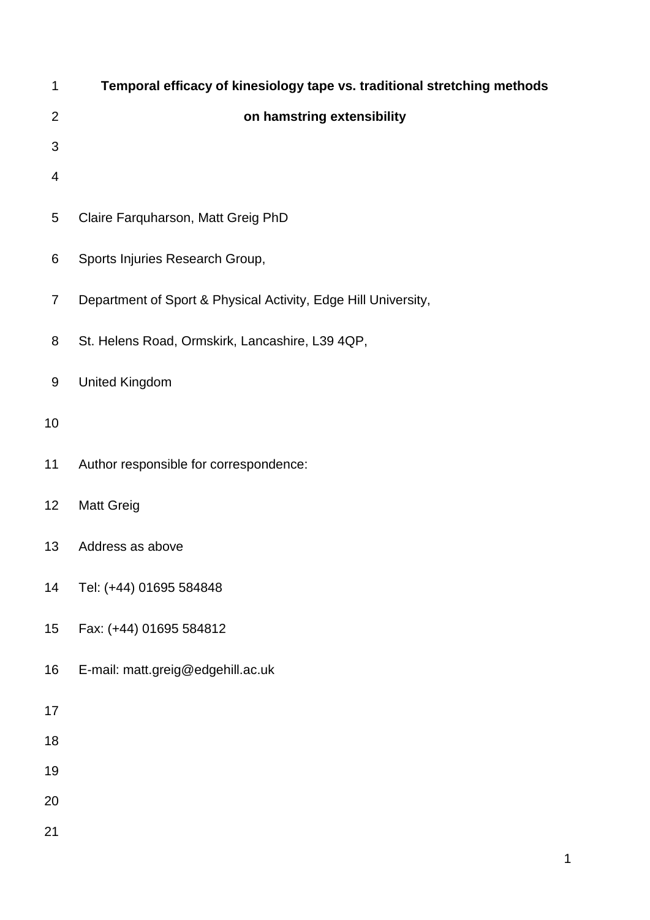| 1              | Temporal efficacy of kinesiology tape vs. traditional stretching methods |
|----------------|--------------------------------------------------------------------------|
| $\overline{2}$ | on hamstring extensibility                                               |
| 3              |                                                                          |
| 4              |                                                                          |
| 5              | Claire Farquharson, Matt Greig PhD                                       |
| 6              | Sports Injuries Research Group,                                          |
| $\overline{7}$ | Department of Sport & Physical Activity, Edge Hill University,           |
| 8              | St. Helens Road, Ormskirk, Lancashire, L39 4QP,                          |
| 9              | <b>United Kingdom</b>                                                    |
| 10             |                                                                          |
| 11             | Author responsible for correspondence:                                   |
| 12             | <b>Matt Greig</b>                                                        |
| 13             | Address as above                                                         |
| 14             | Tel: (+44) 01695 584848                                                  |
| 15             | Fax: (+44) 01695 584812                                                  |
| 16             | E-mail: matt.greig@edgehill.ac.uk                                        |
| 17             |                                                                          |
| 18             |                                                                          |
| 19             |                                                                          |
| 20             |                                                                          |
| 21             |                                                                          |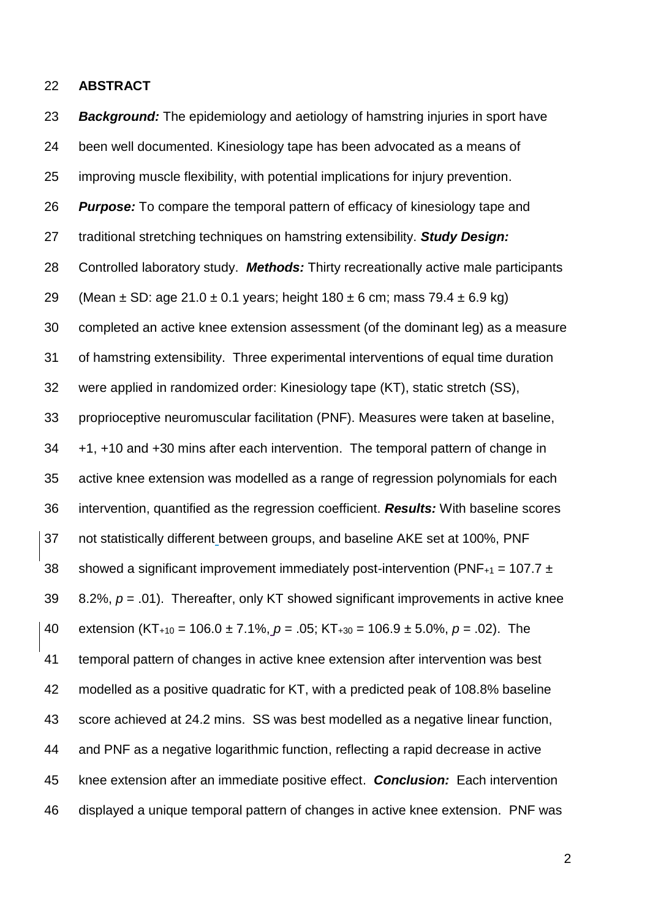#### **ABSTRACT**

 *Background:* The epidemiology and aetiology of hamstring injuries in sport have been well documented. Kinesiology tape has been advocated as a means of improving muscle flexibility, with potential implications for injury prevention. *Purpose:* To compare the temporal pattern of efficacy of kinesiology tape and traditional stretching techniques on hamstring extensibility. *Study Design:*  Controlled laboratory study. *Methods:* Thirty recreationally active male participants 29 (Mean  $\pm$  SD: age 21.0  $\pm$  0.1 years; height 180  $\pm$  6 cm; mass 79.4  $\pm$  6.9 kg) completed an active knee extension assessment (of the dominant leg) as a measure of hamstring extensibility. Three experimental interventions of equal time duration were applied in randomized order: Kinesiology tape (KT), static stretch (SS), proprioceptive neuromuscular facilitation (PNF). Measures were taken at baseline, +1, +10 and +30 mins after each intervention. The temporal pattern of change in active knee extension was modelled as a range of regression polynomials for each intervention, quantified as the regression coefficient. *Results:* With baseline scores not statistically different between groups, and baseline AKE set at 100%, PNF 38 showed a significant improvement immediately post-intervention (PNF $_{+1}$  = 107.7  $\pm$  8.2%, *p* = .01). Thereafter, only KT showed significant improvements in active knee extension (KT+10 = 106.0 ± 7.1%, *p* = .05; KT+30 = 106.9 ± 5.0%, *p* = .02). The temporal pattern of changes in active knee extension after intervention was best modelled as a positive quadratic for KT, with a predicted peak of 108.8% baseline score achieved at 24.2 mins. SS was best modelled as a negative linear function, and PNF as a negative logarithmic function, reflecting a rapid decrease in active knee extension after an immediate positive effect. *Conclusion:* Each intervention displayed a unique temporal pattern of changes in active knee extension. PNF was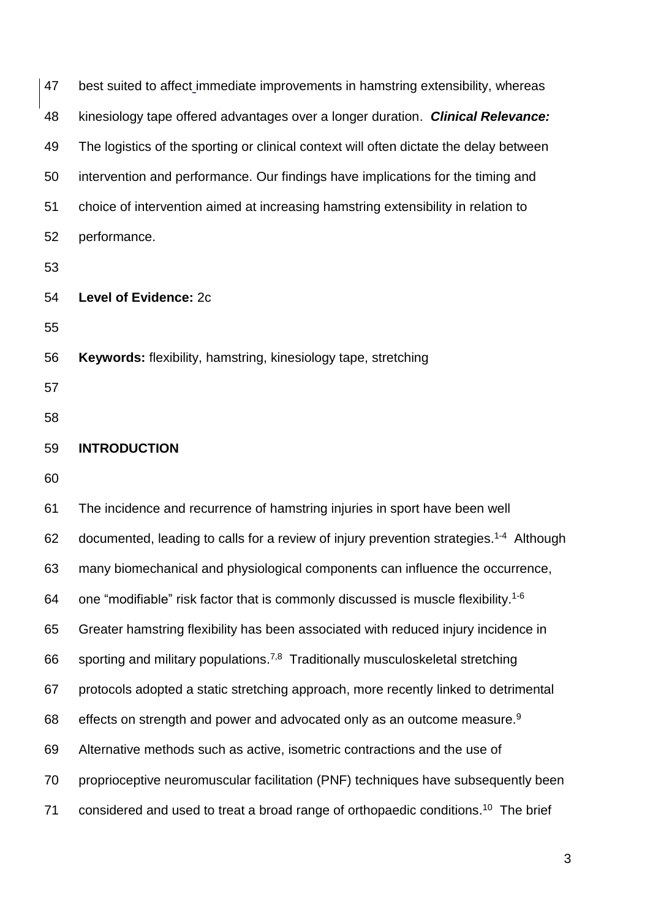| 47 | best suited to affect immediate improvements in hamstring extensibility, whereas                   |
|----|----------------------------------------------------------------------------------------------------|
| 48 | kinesiology tape offered advantages over a longer duration. Clinical Relevance:                    |
| 49 | The logistics of the sporting or clinical context will often dictate the delay between             |
| 50 | intervention and performance. Our findings have implications for the timing and                    |
| 51 | choice of intervention aimed at increasing hamstring extensibility in relation to                  |
| 52 | performance.                                                                                       |
| 53 |                                                                                                    |
| 54 | Level of Evidence: 2c                                                                              |
| 55 |                                                                                                    |
| 56 | <b>Keywords:</b> flexibility, hamstring, kinesiology tape, stretching                              |
| 57 |                                                                                                    |
| 58 |                                                                                                    |
| 59 | <b>INTRODUCTION</b>                                                                                |
| 60 |                                                                                                    |
| 61 | The incidence and recurrence of hamstring injuries in sport have been well                         |
| 62 | documented, leading to calls for a review of injury prevention strategies. <sup>1-4</sup> Although |
| 63 | many biomechanical and physiological components can influence the occurrence,                      |
| 64 | one "modifiable" risk factor that is commonly discussed is muscle flexibility. <sup>1-6</sup>      |
| 65 | Greater hamstring flexibility has been associated with reduced injury incidence in                 |
| 66 | sporting and military populations. <sup>7,8</sup> Traditionally musculoskeletal stretching         |
| 67 | protocols adopted a static stretching approach, more recently linked to detrimental                |
| 68 | effects on strength and power and advocated only as an outcome measure. <sup>9</sup>               |
| 69 | Alternative methods such as active, isometric contractions and the use of                          |
| 70 | proprioceptive neuromuscular facilitation (PNF) techniques have subsequently been                  |
| 71 | considered and used to treat a broad range of orthopaedic conditions. <sup>10</sup> The brief      |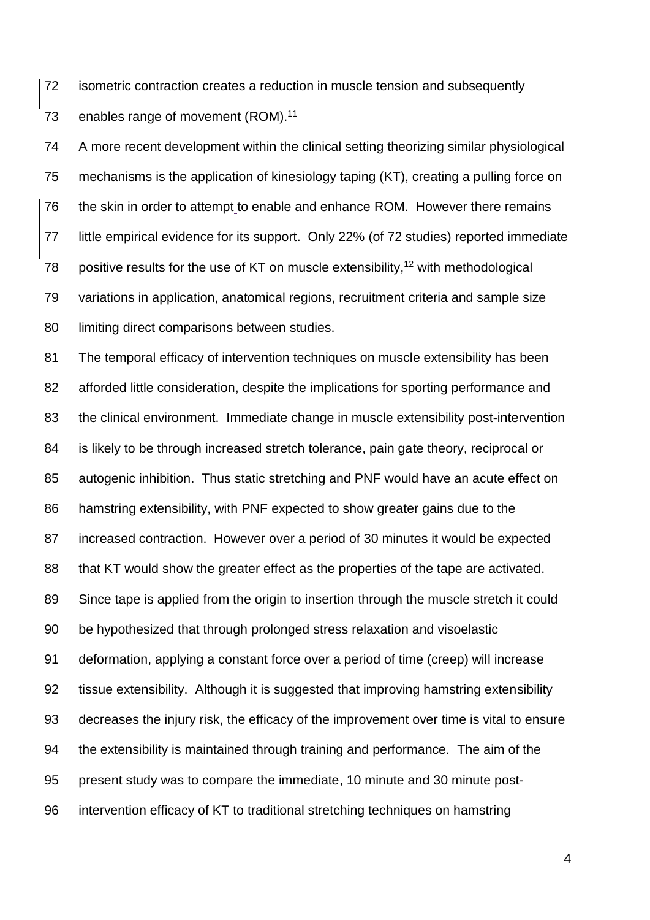isometric contraction creates a reduction in muscle tension and subsequently 73 enables range of movement (ROM).<sup>11</sup>

 A more recent development within the clinical setting theorizing similar physiological mechanisms is the application of kinesiology taping (KT), creating a pulling force on 76 the skin in order to attempt to enable and enhance ROM. However there remains little empirical evidence for its support. Only 22% (of 72 studies) reported immediate 78 positive results for the use of KT on muscle extensibility, with methodological variations in application, anatomical regions, recruitment criteria and sample size 80 limiting direct comparisons between studies.

 The temporal efficacy of intervention techniques on muscle extensibility has been afforded little consideration, despite the implications for sporting performance and the clinical environment. Immediate change in muscle extensibility post-intervention is likely to be through increased stretch tolerance, pain gate theory, reciprocal or autogenic inhibition. Thus static stretching and PNF would have an acute effect on hamstring extensibility, with PNF expected to show greater gains due to the increased contraction. However over a period of 30 minutes it would be expected that KT would show the greater effect as the properties of the tape are activated. Since tape is applied from the origin to insertion through the muscle stretch it could be hypothesized that through prolonged stress relaxation and visoelastic deformation, applying a constant force over a period of time (creep) will increase tissue extensibility. Although it is suggested that improving hamstring extensibility decreases the injury risk, the efficacy of the improvement over time is vital to ensure the extensibility is maintained through training and performance. The aim of the present study was to compare the immediate, 10 minute and 30 minute post-intervention efficacy of KT to traditional stretching techniques on hamstring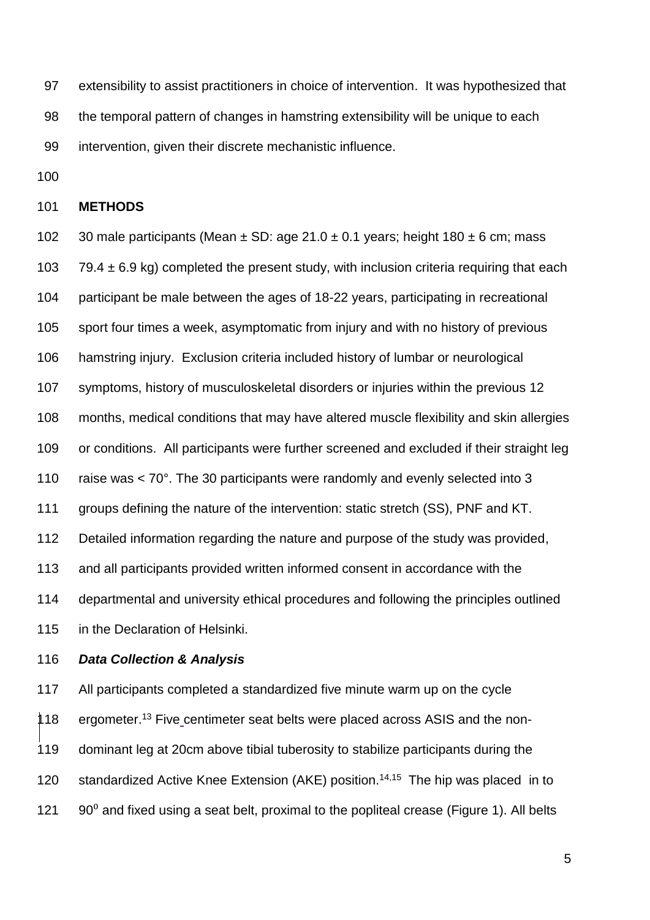extensibility to assist practitioners in choice of intervention. It was hypothesized that the temporal pattern of changes in hamstring extensibility will be unique to each intervention, given their discrete mechanistic influence.

#### **METHODS**

102 30 male participants (Mean  $\pm$  SD: age 21.0  $\pm$  0.1 years; height 180  $\pm$  6 cm; mass 103 79.4  $\pm$  6.9 kg) completed the present study, with inclusion criteria requiring that each participant be male between the ages of 18-22 years, participating in recreational sport four times a week, asymptomatic from injury and with no history of previous hamstring injury. Exclusion criteria included history of lumbar or neurological symptoms, history of musculoskeletal disorders or injuries within the previous 12 months, medical conditions that may have altered muscle flexibility and skin allergies 109 or conditions. All participants were further screened and excluded if their straight leg raise was < 70°. The 30 participants were randomly and evenly selected into 3 groups defining the nature of the intervention: static stretch (SS), PNF and KT. Detailed information regarding the nature and purpose of the study was provided, and all participants provided written informed consent in accordance with the departmental and university ethical procedures and following the principles outlined in the Declaration of Helsinki. *Data Collection & Analysis*

 All participants completed a standardized five minute warm up on the cycle  $\uparrow$  18 ergometer.<sup>13</sup> Five centimeter seat belts were placed across ASIS and the non- dominant leg at 20cm above tibial tuberosity to stabilize participants during the 120 standardized Active Knee Extension (AKE) position.<sup>14,15</sup> The hip was placed in to 121  $90<sup>o</sup>$  and fixed using a seat belt, proximal to the popliteal crease (Figure 1). All belts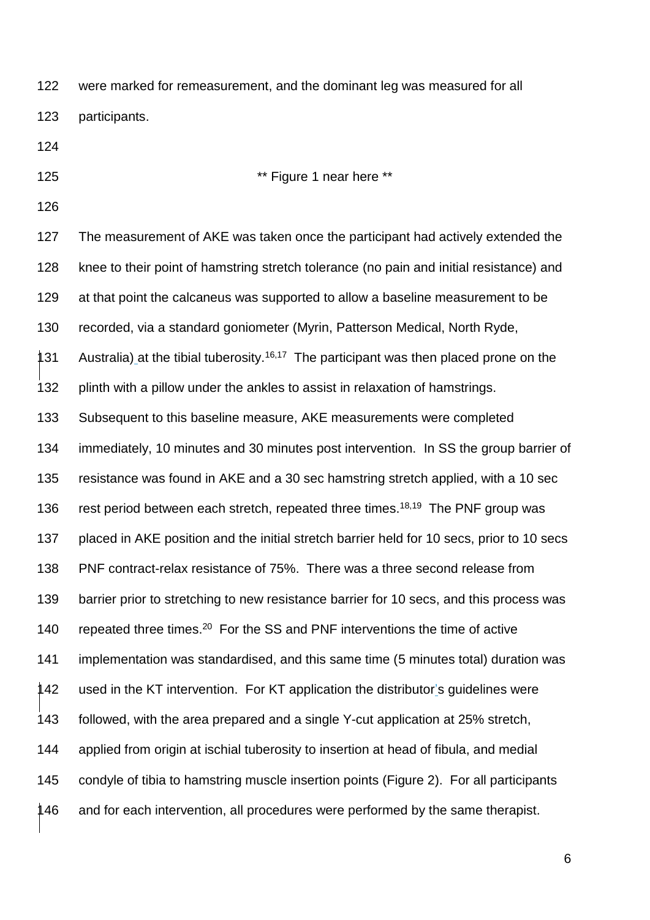were marked for remeasurement, and the dominant leg was measured for all participants.

**\*\*** Figure 1 near here \*\*

 The measurement of AKE was taken once the participant had actively extended the knee to their point of hamstring stretch tolerance (no pain and initial resistance) and at that point the calcaneus was supported to allow a baseline measurement to be recorded, via a standard goniometer (Myrin, Patterson Medical, North Ryde, 131 Australia) at the tibial tuberosity.<sup>16,17</sup> The participant was then placed prone on the plinth with a pillow under the ankles to assist in relaxation of hamstrings. Subsequent to this baseline measure, AKE measurements were completed immediately, 10 minutes and 30 minutes post intervention. In SS the group barrier of resistance was found in AKE and a 30 sec hamstring stretch applied, with a 10 sec 136 rest period between each stretch, repeated three times.<sup>18,19</sup> The PNF group was 137 placed in AKE position and the initial stretch barrier held for 10 secs, prior to 10 secs PNF contract-relax resistance of 75%. There was a three second release from barrier prior to stretching to new resistance barrier for 10 secs, and this process was 140 repeated three times.<sup>20</sup> For the SS and PNF interventions the time of active implementation was standardised, and this same time (5 minutes total) duration was used in the KT intervention. For KT application the distributor's guidelines were followed, with the area prepared and a single Y-cut application at 25% stretch, applied from origin at ischial tuberosity to insertion at head of fibula, and medial condyle of tibia to hamstring muscle insertion points (Figure 2). For all participants 146 and for each intervention, all procedures were performed by the same therapist.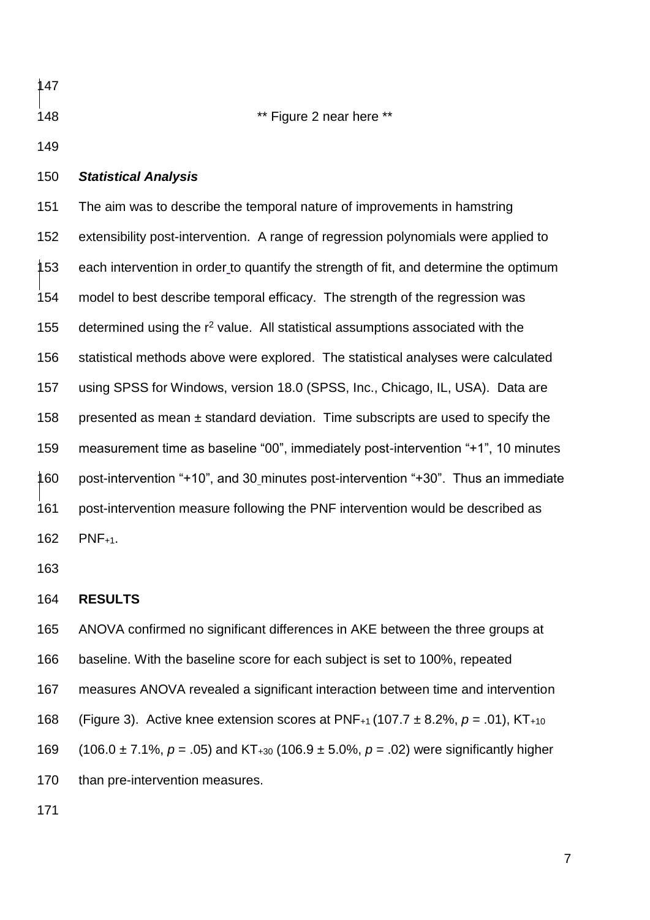**\*\*** Figure 2 near here \*\* *Statistical Analysis* The aim was to describe the temporal nature of improvements in hamstring extensibility post-intervention. A range of regression polynomials were applied to 153 each intervention in order to quantify the strength of fit, and determine the optimum model to best describe temporal efficacy. The strength of the regression was 155 determined using the  $r^2$  value. All statistical assumptions associated with the statistical methods above were explored. The statistical analyses were calculated using SPSS for Windows, version 18.0 (SPSS, Inc., Chicago, IL, USA). Data are 158 presented as mean  $\pm$  standard deviation. Time subscripts are used to specify the measurement time as baseline "00", immediately post-intervention "+1", 10 minutes post-intervention "+10", and 30 minutes post-intervention "+30". Thus an immediate

 post-intervention measure following the PNF intervention would be described as PNF+1.

## **RESULTS**

ANOVA confirmed no significant differences in AKE between the three groups at

baseline. With the baseline score for each subject is set to 100%, repeated

measures ANOVA revealed a significant interaction between time and intervention

(Figure 3). Active knee extension scores at PNF+1 (107.7 ± 8.2%, *p* = .01), KT+10

(106.0 ± 7.1%, *p* = .05) and KT+30 (106.9 ± 5.0%, *p* = .02) were significantly higher

170 than pre-intervention measures.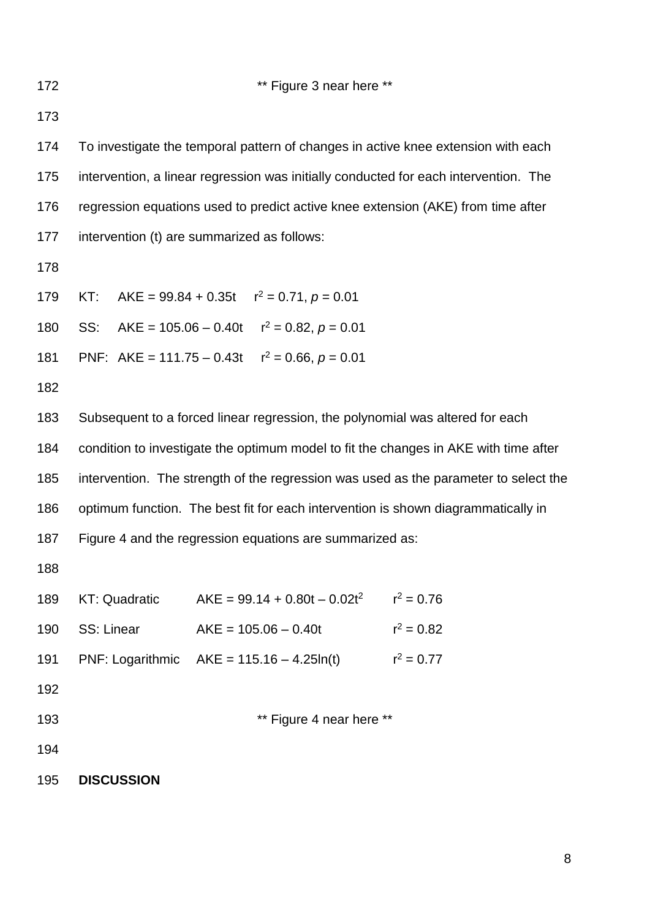### **\*\*** Figure 3 near here \*\*

 To investigate the temporal pattern of changes in active knee extension with each intervention, a linear regression was initially conducted for each intervention. The regression equations used to predict active knee extension (AKE) from time after intervention (t) are summarized as follows: 179 KT: AKE =  $99.84 + 0.35t$   $r^2 = 0.71$ ,  $p = 0.01$ 180 SS: AKE =  $105.06 - 0.40t$   $r^2 = 0.82$ ,  $p = 0.01$ 181 PNF: AKE = 111.75 – 0.43t  $r^2 = 0.66$ ,  $p = 0.01$  Subsequent to a forced linear regression, the polynomial was altered for each condition to investigate the optimum model to fit the changes in AKE with time after intervention. The strength of the regression was used as the parameter to select the optimum function. The best fit for each intervention is shown diagrammatically in Figure 4 and the regression equations are summarized as: 189 KT: Quadratic  $AKE = 99.14 + 0.80t - 0.02t^2$   $r^2 = 0.76$ 190 SS: Linear  $AKE = 105.06 - 0.40t$   $r^2 = 0.82$ 191 PNF: Logarithmic  $AKE = 115.16 - 4.25ln(t)$   $r^2 = 0.77$  **\*\*** Figure 4 near here \*\* **DISCUSSION**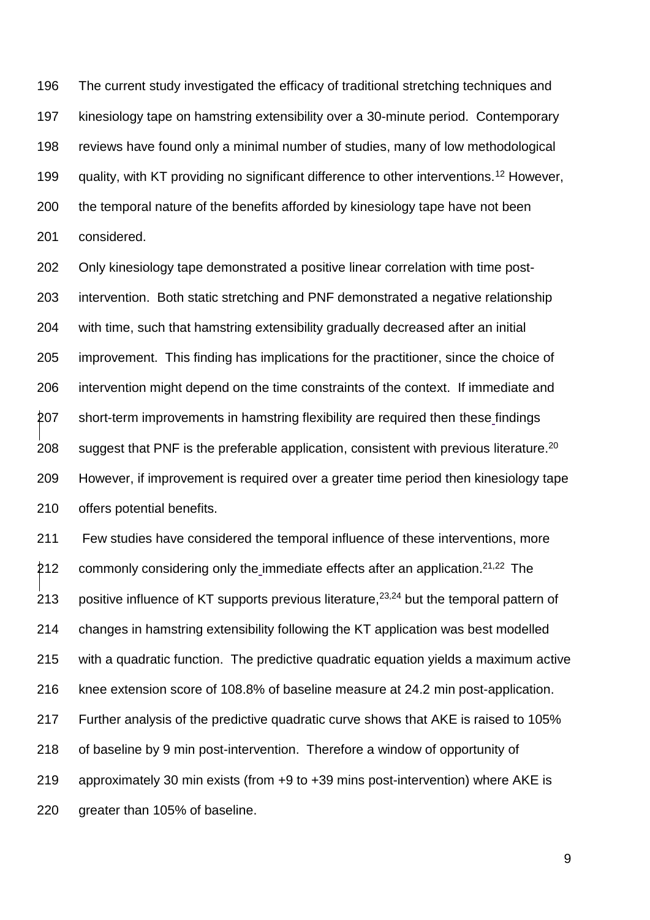The current study investigated the efficacy of traditional stretching techniques and kinesiology tape on hamstring extensibility over a 30-minute period. Contemporary reviews have found only a minimal number of studies, many of low methodological 199 guality, with KT providing no significant difference to other interventions.<sup>12</sup> However, the temporal nature of the benefits afforded by kinesiology tape have not been considered.

 Only kinesiology tape demonstrated a positive linear correlation with time post- intervention. Both static stretching and PNF demonstrated a negative relationship with time, such that hamstring extensibility gradually decreased after an initial improvement. This finding has implications for the practitioner, since the choice of intervention might depend on the time constraints of the context. If immediate and short-term improvements in hamstring flexibility are required then these findings 208 suggest that PNF is the preferable application, consistent with previous literature.<sup>20</sup> However, if improvement is required over a greater time period then kinesiology tape offers potential benefits.

 Few studies have considered the temporal influence of these interventions, more 212 commonly considering only the immediate effects after an application.<sup>21,22</sup> The 213 positive influence of KT supports previous literature,  $23,24$  but the temporal pattern of changes in hamstring extensibility following the KT application was best modelled with a quadratic function. The predictive quadratic equation yields a maximum active knee extension score of 108.8% of baseline measure at 24.2 min post-application. Further analysis of the predictive quadratic curve shows that AKE is raised to 105% of baseline by 9 min post-intervention. Therefore a window of opportunity of approximately 30 min exists (from +9 to +39 mins post-intervention) where AKE is greater than 105% of baseline.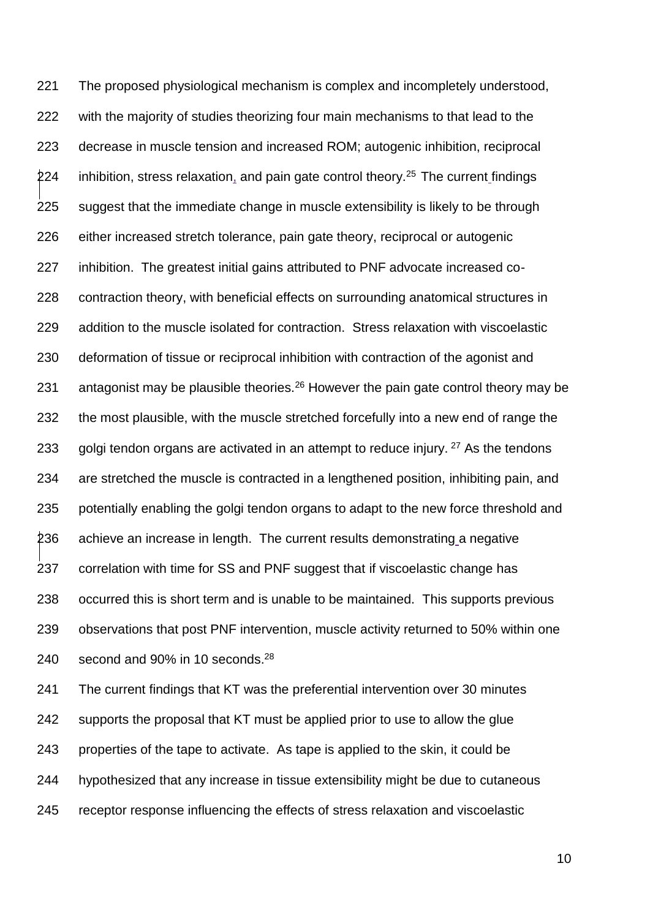The proposed physiological mechanism is complex and incompletely understood, with the majority of studies theorizing four main mechanisms to that lead to the decrease in muscle tension and increased ROM; autogenic inhibition, reciprocal inhibition, stress relaxation, and pain gate control theory.<sup>25</sup> The current findings suggest that the immediate change in muscle extensibility is likely to be through either increased stretch tolerance, pain gate theory, reciprocal or autogenic inhibition. The greatest initial gains attributed to PNF advocate increased co- contraction theory, with beneficial effects on surrounding anatomical structures in addition to the muscle isolated for contraction. Stress relaxation with viscoelastic deformation of tissue or reciprocal inhibition with contraction of the agonist and 231 antagonist may be plausible theories.<sup>26</sup> However the pain gate control theory may be the most plausible, with the muscle stretched forcefully into a new end of range the 233 golgi tendon organs are activated in an attempt to reduce injury. As the tendons are stretched the muscle is contracted in a lengthened position, inhibiting pain, and potentially enabling the golgi tendon organs to adapt to the new force threshold and 236 achieve an increase in length. The current results demonstrating a negative correlation with time for SS and PNF suggest that if viscoelastic change has occurred this is short term and is unable to be maintained. This supports previous observations that post PNF intervention, muscle activity returned to 50% within one 240 second and 90% in 10 seconds.<sup>28</sup>

 The current findings that KT was the preferential intervention over 30 minutes supports the proposal that KT must be applied prior to use to allow the glue properties of the tape to activate. As tape is applied to the skin, it could be hypothesized that any increase in tissue extensibility might be due to cutaneous receptor response influencing the effects of stress relaxation and viscoelastic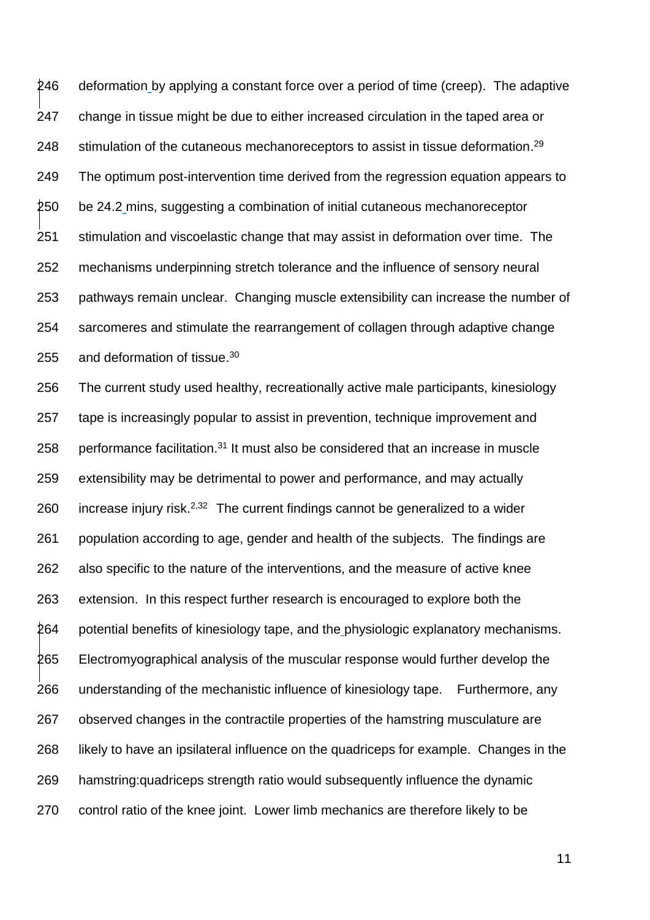246 deformation by applying a constant force over a period of time (creep). The adaptive change in tissue might be due to either increased circulation in the taped area or 248 stimulation of the cutaneous mechanoreceptors to assist in tissue deformation.<sup>29</sup> The optimum post-intervention time derived from the regression equation appears to be 24.2 mins, suggesting a combination of initial cutaneous mechanoreceptor stimulation and viscoelastic change that may assist in deformation over time. The mechanisms underpinning stretch tolerance and the influence of sensory neural pathways remain unclear. Changing muscle extensibility can increase the number of sarcomeres and stimulate the rearrangement of collagen through adaptive change 255 and deformation of tissue.

 The current study used healthy, recreationally active male participants, kinesiology tape is increasingly popular to assist in prevention, technique improvement and 258 performance facilitation. It must also be considered that an increase in muscle extensibility may be detrimental to power and performance, and may actually 260 increase injury risk.<sup>2,32</sup> The current findings cannot be generalized to a wider population according to age, gender and health of the subjects. The findings are also specific to the nature of the interventions, and the measure of active knee extension. In this respect further research is encouraged to explore both the potential benefits of kinesiology tape, and the physiologic explanatory mechanisms. Electromyographical analysis of the muscular response would further develop the understanding of the mechanistic influence of kinesiology tape. Furthermore, any observed changes in the contractile properties of the hamstring musculature are likely to have an ipsilateral influence on the quadriceps for example. Changes in the hamstring:quadriceps strength ratio would subsequently influence the dynamic control ratio of the knee joint. Lower limb mechanics are therefore likely to be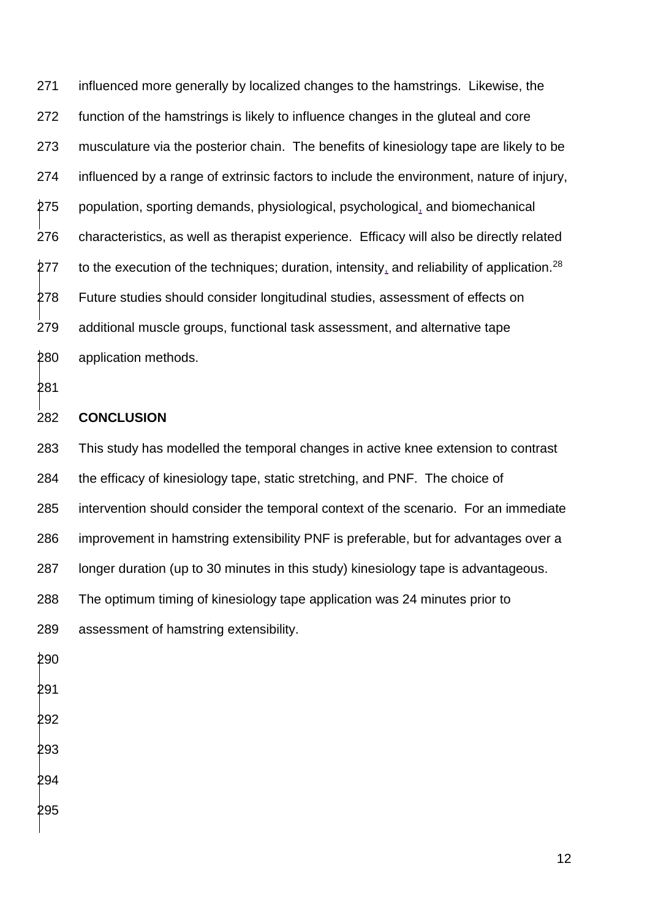influenced more generally by localized changes to the hamstrings. Likewise, the function of the hamstrings is likely to influence changes in the gluteal and core musculature via the posterior chain. The benefits of kinesiology tape are likely to be influenced by a range of extrinsic factors to include the environment, nature of injury, population, sporting demands, physiological, psychological, and biomechanical characteristics, as well as therapist experience. Efficacy will also be directly related to the execution of the techniques; duration, intensity, and reliability of application.<sup>28</sup> Future studies should consider longitudinal studies, assessment of effects on additional muscle groups, functional task assessment, and alternative tape application methods.

### **CONCLUSION**

 This study has modelled the temporal changes in active knee extension to contrast the efficacy of kinesiology tape, static stretching, and PNF. The choice of intervention should consider the temporal context of the scenario. For an immediate improvement in hamstring extensibility PNF is preferable, but for advantages over a longer duration (up to 30 minutes in this study) kinesiology tape is advantageous. The optimum timing of kinesiology tape application was 24 minutes prior to assessment of hamstring extensibility.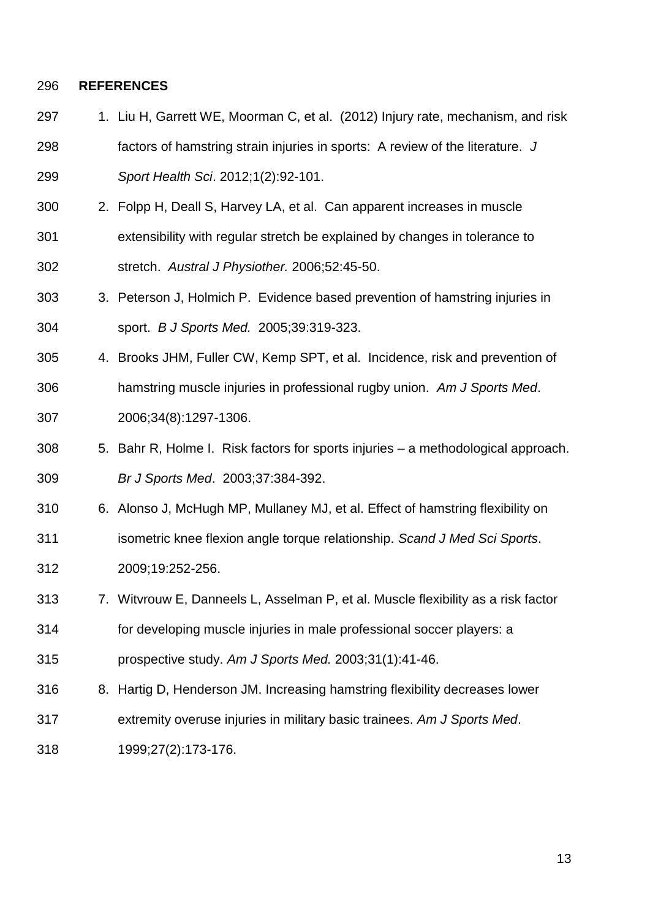#### **REFERENCES**

297 1. Liu H, Garrett WE, Moorman C, et al. (2012) Injury rate, mechanism, and risk

 factors of hamstring strain injuries in sports: A review of the literature. *J Sport Health Sci*. 2012;1(2):92-101.

- 2. Folpp H, Deall S, Harvey LA, et al. Can apparent increases in muscle extensibility with regular stretch be explained by changes in tolerance to stretch. *Austral J Physiother.* 2006;52:45-50.
- 3. Peterson J, Holmich P. Evidence based prevention of hamstring injuries in sport. *B J Sports Med.* 2005;39:319-323.
- 4. Brooks JHM, Fuller CW, Kemp SPT, et al. Incidence, risk and prevention of hamstring muscle injuries in professional rugby union. *Am J Sports Med*. 2006;34(8):1297-1306.
- 5. Bahr R, Holme I. Risk factors for sports injuries a methodological approach. *Br J Sports Med*. 2003;37:384-392.
- 6. Alonso J, McHugh MP, Mullaney MJ, et al. Effect of hamstring flexibility on
- isometric knee flexion angle torque relationship. *Scand J Med Sci Sports*.
- 2009;19:252-256.
- 7. Witvrouw E, Danneels L, Asselman P, et al. Muscle flexibility as a risk factor for developing muscle injuries in male professional soccer players: a prospective study. *Am J Sports Med.* 2003;31(1):41-46.
- 8. Hartig D, Henderson JM. Increasing hamstring flexibility decreases lower
- extremity overuse injuries in military basic trainees. *Am J Sports Med*.
- 1999;27(2):173-176.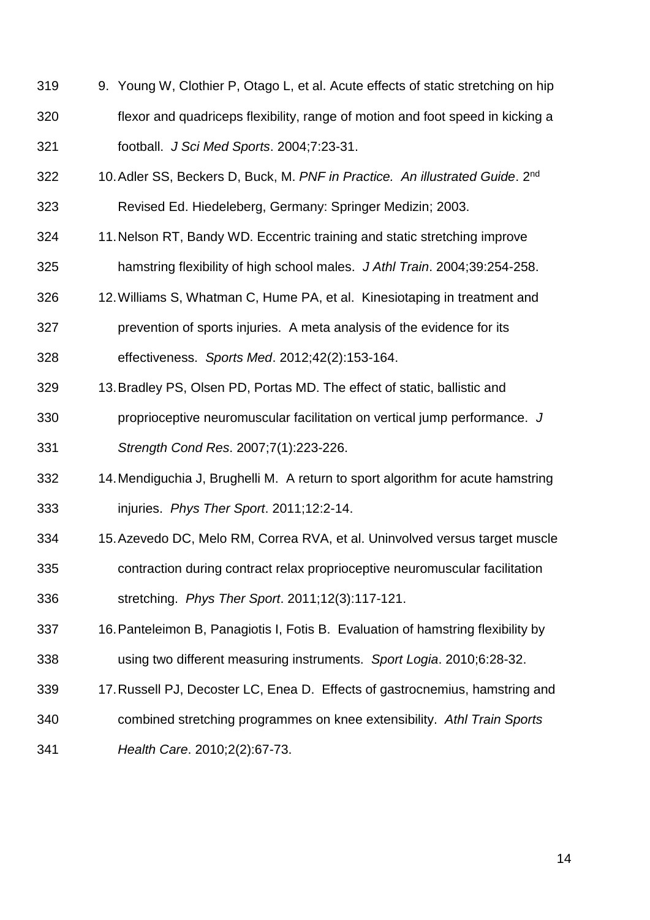- 9. Young W, Clothier P, Otago L, et al. Acute effects of static stretching on hip flexor and quadriceps flexibility, range of motion and foot speed in kicking a football. *J Sci Med Sports*. 2004;7:23-31.
- 10.Adler SS, Beckers D, Buck, M. *PNF in Practice. An illustrated Guide*. 2nd Revised Ed. Hiedeleberg, Germany: Springer Medizin; 2003.
- 11.Nelson RT, Bandy WD. Eccentric training and static stretching improve hamstring flexibility of high school males. *J Athl Train*. 2004;39:254-258.
- 12.Williams S, Whatman C, Hume PA, et al. Kinesiotaping in treatment and
- prevention of sports injuries. A meta analysis of the evidence for its effectiveness. *Sports Med*. 2012;42(2):153-164.
- 13.Bradley PS, Olsen PD, Portas MD. The effect of static, ballistic and
- proprioceptive neuromuscular facilitation on vertical jump performance. *J Strength Cond Res*. 2007;7(1):223-226.
- 14.Mendiguchia J, Brughelli M. A return to sport algorithm for acute hamstring injuries. *Phys Ther Sport*. 2011;12:2-14.
- 15.Azevedo DC, Melo RM, Correa RVA, et al. Uninvolved versus target muscle contraction during contract relax proprioceptive neuromuscular facilitation stretching. *Phys Ther Sport*. 2011;12(3):117-121.
- 16.Panteleimon B, Panagiotis I, Fotis B. Evaluation of hamstring flexibility by using two different measuring instruments. *Sport Logia*. 2010;6:28-32.
- 17.Russell PJ, Decoster LC, Enea D. Effects of gastrocnemius, hamstring and
- combined stretching programmes on knee extensibility. *Athl Train Sports*
- *Health Care*. 2010;2(2):67-73.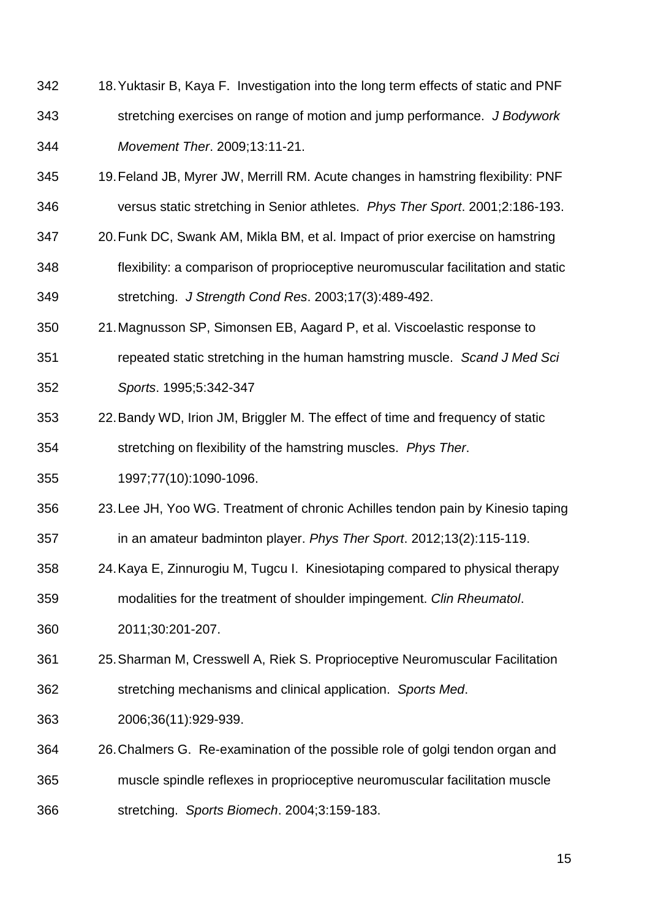- 18.Yuktasir B, Kaya F. Investigation into the long term effects of static and PNF stretching exercises on range of motion and jump performance. *J Bodywork Movement Ther*. 2009;13:11-21.
- 19.Feland JB, Myrer JW, Merrill RM. Acute changes in hamstring flexibility: PNF versus static stretching in Senior athletes. *Phys Ther Sport*. 2001;2:186-193.
- 20.Funk DC, Swank AM, Mikla BM, et al. Impact of prior exercise on hamstring
- flexibility: a comparison of proprioceptive neuromuscular facilitation and static stretching. *J Strength Cond Res*. 2003;17(3):489-492.
- 21.Magnusson SP, Simonsen EB, Aagard P, et al. Viscoelastic response to
- repeated static stretching in the human hamstring muscle. *Scand J Med Sci Sports*. 1995;5:342-347
- 22.Bandy WD, Irion JM, Briggler M. The effect of time and frequency of static stretching on flexibility of the hamstring muscles. *Phys Ther*.
- 1997;77(10):1090-1096.
- 23.Lee JH, Yoo WG. Treatment of chronic Achilles tendon pain by Kinesio taping
- in an amateur badminton player. *Phys Ther Sport*. 2012;13(2):115-119.
- 24.Kaya E, Zinnurogiu M, Tugcu I. Kinesiotaping compared to physical therapy modalities for the treatment of shoulder impingement. *Clin Rheumatol*.
- 2011;30:201-207.
- 25.Sharman M, Cresswell A, Riek S. Proprioceptive Neuromuscular Facilitation
- stretching mechanisms and clinical application. *Sports Med*.
- 2006;36(11):929-939.
- 26.Chalmers G. Re-examination of the possible role of golgi tendon organ and muscle spindle reflexes in proprioceptive neuromuscular facilitation muscle stretching. *Sports Biomech*. 2004;3:159-183.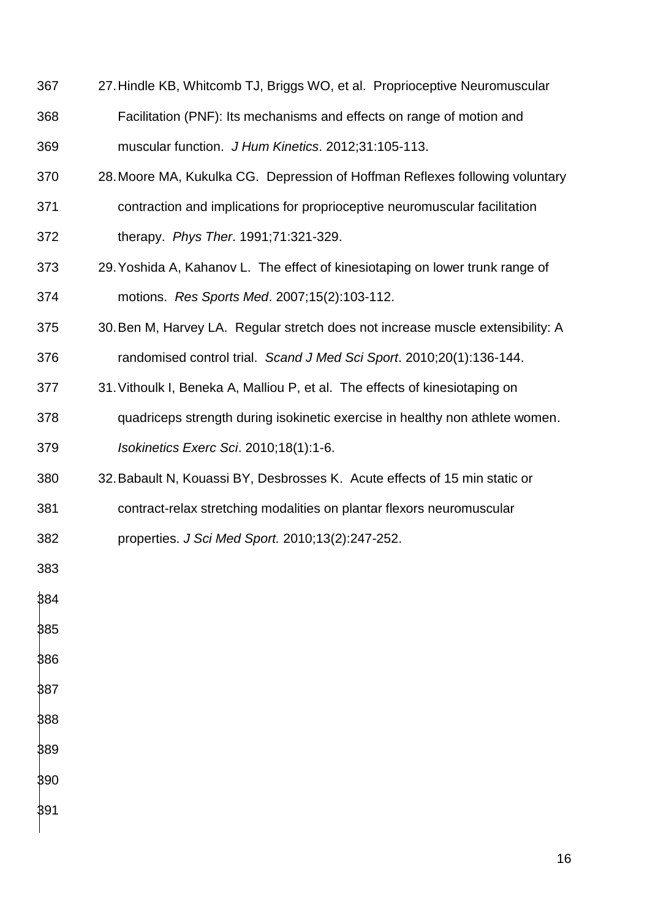- 27.Hindle KB, Whitcomb TJ, Briggs WO, et al. Proprioceptive Neuromuscular Facilitation (PNF): Its mechanisms and effects on range of motion and
- muscular function. *J Hum Kinetics*. 2012;31:105-113.
- 28.Moore MA, Kukulka CG. Depression of Hoffman Reflexes following voluntary
- contraction and implications for proprioceptive neuromuscular facilitation
- therapy. *Phys Ther*. 1991;71:321-329.
- 29.Yoshida A, Kahanov L. The effect of kinesiotaping on lower trunk range of motions. *Res Sports Med*. 2007;15(2):103-112.
- 30.Ben M, Harvey LA. Regular stretch does not increase muscle extensibility: A randomised control trial. *Scand J Med Sci Sport*. 2010;20(1):136-144.
- 31.Vithoulk I, Beneka A, Malliou P, et al. The effects of kinesiotaping on
- quadriceps strength during isokinetic exercise in healthy non athlete women. *Isokinetics Exerc Sci*. 2010;18(1):1-6.
- 32.Babault N, Kouassi BY, Desbrosses K. Acute effects of 15 min static or
- contract-relax stretching modalities on plantar flexors neuromuscular
- properties. *J Sci Med Sport.* 2010;13(2):247-252.
- 
- 

- 
-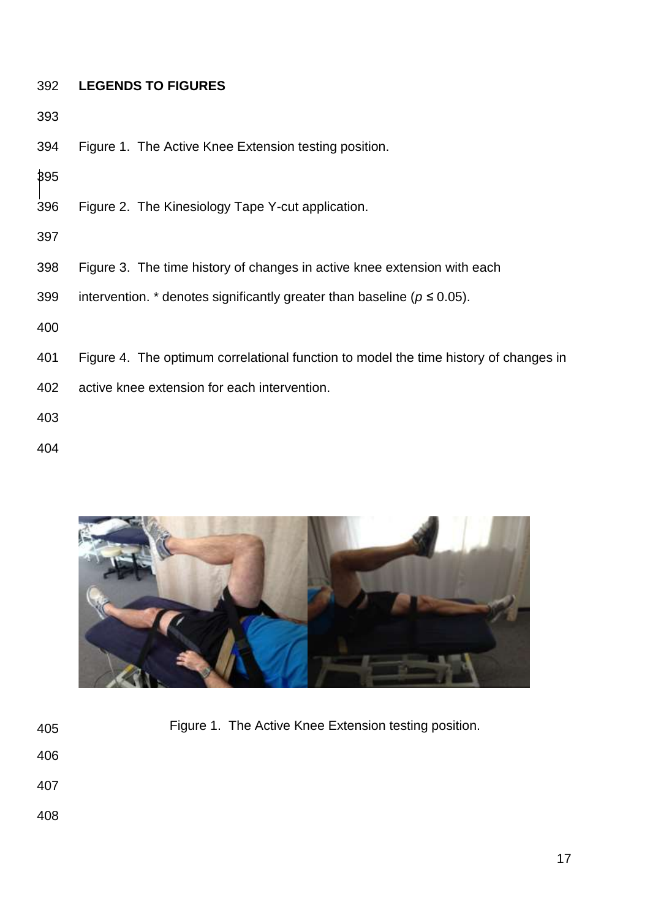# **LEGENDS TO FIGURES**

Figure 1. The Active Knee Extension testing position.

- Figure 2. The Kinesiology Tape Y-cut application.
- 
- Figure 3. The time history of changes in active knee extension with each
- 399 intervention. \* denotes significantly greater than baseline ( $p \le 0.05$ ).
- 
- Figure 4. The optimum correlational function to model the time history of changes in
- active knee extension for each intervention.
- 
- 



Figure 1. The Active Knee Extension testing position.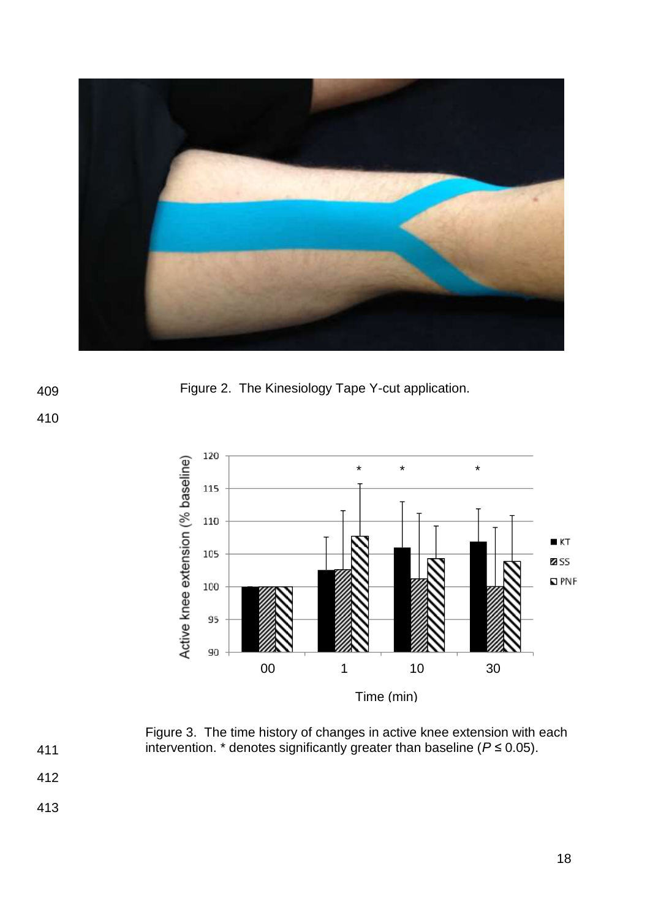

409 Figure 2. The Kinesiology Tape Y-cut application.



Figure 3. The time history of changes in active knee extension with each

- 411 412
- 
- 413